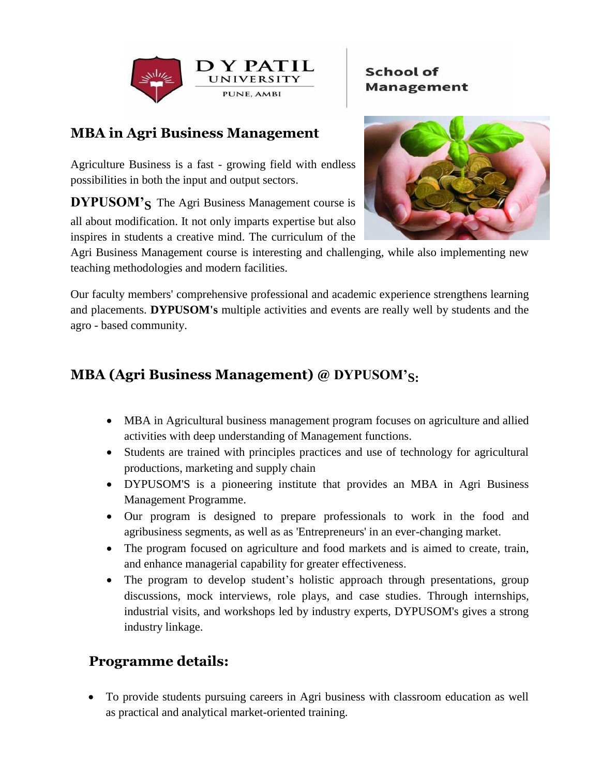

### **School of Management**

## **MBA in Agri Business Management**

Agriculture Business is a fast - growing field with endless possibilities in both the input and output sectors.

**DYPUSOM's** The Agri Business Management course is all about modification. It not only imparts expertise but also inspires in students a creative mind. The curriculum of the



Agri Business Management course is interesting and challenging, while also implementing new teaching methodologies and modern facilities.

Our faculty members' comprehensive professional and academic experience strengthens learning and placements. **DYPUSOM's** multiple activities and events are really well by students and the agro - based community.

## **MBA (Agri Business Management) @ DYPUSOM'S:**

- MBA in Agricultural business management program focuses on agriculture and allied activities with deep understanding of Management functions.
- Students are trained with principles practices and use of technology for agricultural productions, marketing and supply chain
- DYPUSOM'S is a pioneering institute that provides an MBA in Agri Business Management Programme.
- Our program is designed to prepare professionals to work in the food and agribusiness segments, as well as as 'Entrepreneurs' in an ever-changing market.
- The program focused on agriculture and food markets and is aimed to create, train, and enhance managerial capability for greater effectiveness.
- The program to develop student's holistic approach through presentations, group discussions, mock interviews, role plays, and case studies. Through internships, industrial visits, and workshops led by industry experts, DYPUSOM's gives a strong industry linkage.

## **Programme details:**

 To provide students pursuing careers in Agri business with classroom education as well as practical and analytical market-oriented training.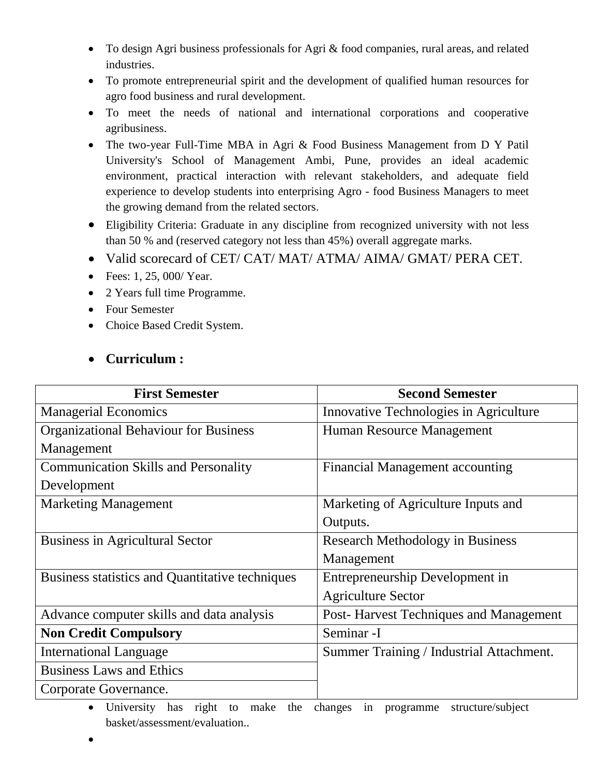- To design Agri business professionals for Agri & food companies, rural areas, and related industries.
- To promote entrepreneurial spirit and the development of qualified human resources for agro food business and rural development.
- To meet the needs of national and international corporations and cooperative agribusiness.
- The two-year Full-Time MBA in Agri & Food Business Management from D Y Patil University's School of Management Ambi, Pune, provides an ideal academic environment, practical interaction with relevant stakeholders, and adequate field experience to develop students into enterprising Agro - food Business Managers to meet the growing demand from the related sectors.
- Eligibility Criteria: Graduate in any discipline from recognized university with not less than 50 % and (reserved category not less than 45%) overall aggregate marks.
- Valid scorecard of CET/ CAT/ MAT/ ATMA/ AIMA/ GMAT/ PERA CET.
- $Fees: 1, 25, 000 / Year.$
- 2 Years full time Programme.
- Four Semester
- Choice Based Credit System.

#### **Curriculum :**

| <b>First Semester</b>                           | <b>Second Semester</b>                   |
|-------------------------------------------------|------------------------------------------|
| <b>Managerial Economics</b>                     | Innovative Technologies in Agriculture   |
| <b>Organizational Behaviour for Business</b>    | Human Resource Management                |
| Management                                      |                                          |
| <b>Communication Skills and Personality</b>     | <b>Financial Management accounting</b>   |
| Development                                     |                                          |
| <b>Marketing Management</b>                     | Marketing of Agriculture Inputs and      |
|                                                 | Outputs.                                 |
| <b>Business in Agricultural Sector</b>          | <b>Research Methodology in Business</b>  |
|                                                 | Management                               |
| Business statistics and Quantitative techniques | Entrepreneurship Development in          |
|                                                 | <b>Agriculture Sector</b>                |
| Advance computer skills and data analysis       | Post-Harvest Techniques and Management   |
| <b>Non Credit Compulsory</b>                    | Seminar -I                               |
| <b>International Language</b>                   | Summer Training / Industrial Attachment. |
| <b>Business Laws and Ethics</b>                 |                                          |
| Corporate Governance.                           |                                          |

- University has right to make the changes in programme structure/subject basket/assessment/evaluation..
- $\bullet$